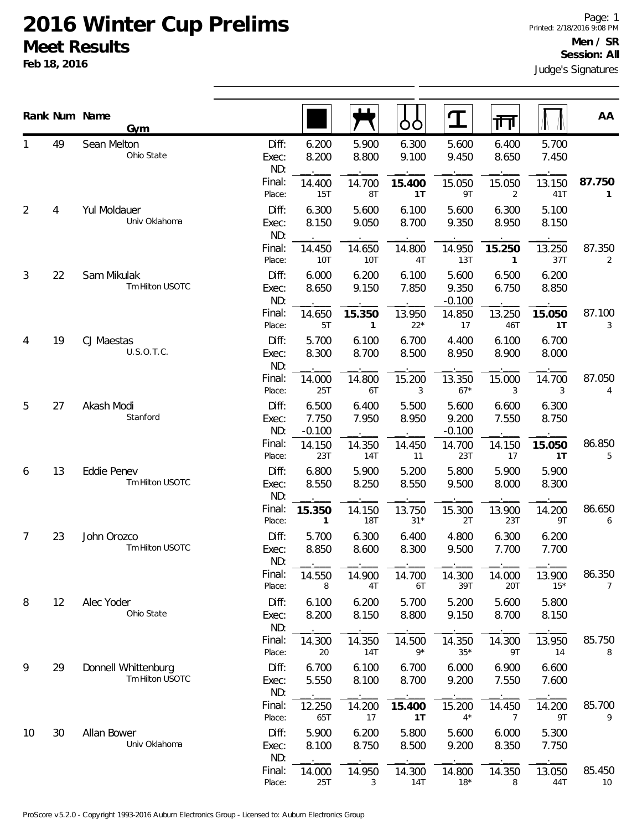|    |    | Rank Num Name<br>Gym                   |                       |                            |                        | OO              | $\mathbf T$                | गा                       |                 | AA                       |
|----|----|----------------------------------------|-----------------------|----------------------------|------------------------|-----------------|----------------------------|--------------------------|-----------------|--------------------------|
|    | 49 | Sean Melton<br>Ohio State              | Diff:<br>Exec:<br>ND: | 6.200<br>8.200             | 5.900<br>8.800         | 6.300<br>9.100  | 5.600<br>9.450             | 6.400<br>8.650           | 5.700<br>7.450  |                          |
|    |    |                                        | Final:<br>Place:      | 14.400<br>15T              | 14.700<br>8T           | 15.400<br>1T    | 15.050<br>9T               | 15.050<br>2              | 13.150<br>41T   | 87.750<br>$\mathbf{1}$   |
| 2  | 4  | Yul Moldauer<br>Univ Oklahoma          | Diff:<br>Exec:<br>ND: | 6.300<br>8.150             | 5.600<br>9.050         | 6.100<br>8.700  | 5.600<br>9.350             | 6.300<br>8.950           | 5.100<br>8.150  |                          |
|    |    |                                        | Final:<br>Place:      | 14.450<br>10T              | 14.650<br>10T          | 14.800<br>4T    | 14.950<br>13T              | 15.250<br>$\mathbf{1}$   | 13.250<br>37T   | 87.350<br>2              |
| 3  | 22 | Sam Mikulak<br>Tm Hilton USOTC         | Diff:<br>Exec:<br>ND: | 6.000<br>8.650             | 6.200<br>9.150         | 6.100<br>7.850  | 5.600<br>9.350<br>$-0.100$ | 6.500<br>6.750           | 6.200<br>8.850  |                          |
|    |    |                                        | Final:<br>Place:      | 14.650<br>5T               | 15.350<br>$\mathbf{1}$ | 13.950<br>$22*$ | 14.850<br>17               | 13.250<br>46T            | 15.050<br>1T    | 87.100<br>3              |
| 4  | 19 | CJ Maestas<br>U.S.O.T.C.               | Diff:<br>Exec:<br>ND: | 5.700<br>8.300             | 6.100<br>8.700         | 6.700<br>8.500  | 4.400<br>8.950             | 6.100<br>8.900           | 6.700<br>8.000  |                          |
|    |    |                                        | Final:<br>Place:      | 14.000<br>25T              | 14.800<br>6T           | 15.200<br>3     | 13.350<br>$67*$            | 15.000<br>3              | 14.700<br>3     | 87.050<br>4              |
| 5  | 27 | Akash Modi<br>Stanford                 | Diff:<br>Exec:<br>ND: | 6.500<br>7.750<br>$-0.100$ | 6.400<br>7.950         | 5.500<br>8.950  | 5.600<br>9.200<br>$-0.100$ | 6.600<br>7.550           | 6.300<br>8.750  |                          |
|    |    |                                        | Final:<br>Place:      | 14.150<br>23T              | 14.350<br>14T          | 14.450<br>11    | 14.700<br>23T              | 14.150<br>17             | 15.050<br>1T    | 86.850<br>5              |
| 6  | 13 | Eddie Penev<br>Tm Hilton USOTC         | Diff:<br>Exec:<br>ND: | 6.800<br>8.550             | 5.900<br>8.250         | 5.200<br>8.550  | 5.800<br>9.500             | 5.900<br>8.000           | 5.900<br>8.300  |                          |
|    |    |                                        | Final:<br>Place:      | 15.350<br>$\mathbf{1}$     | 14.150<br><b>18T</b>   | 13.750<br>$31*$ | 15.300<br>2T               | 13.900<br>23T            | 14.200<br>9T    | 86.650<br>6              |
| 7  | 23 | John Orozco<br>Tm Hilton USOTC         | Diff:<br>Exec:<br>ND: | 5.700<br>8.850             | 6.300<br>8.600         | 6.400<br>8.300  | 4.800<br>9.500             | 6.300<br>7.700           | 6.200<br>7.700  |                          |
|    |    |                                        | Final:<br>Place:      | 14.550<br>8                | 14.900<br>4T           | 14.700<br>6T    | 14.300<br>39T              | 14.000<br>20T            | 13.900<br>$15*$ | 86.350<br>$\overline{7}$ |
| 8  | 12 | Alec Yoder<br>Ohio State               | Diff:<br>Exec:<br>ND: | 6.100<br>8.200             | 6.200<br>8.150         | 5.700<br>8.800  | 5.200<br>9.150             | 5.600<br>8.700           | 5.800<br>8.150  |                          |
|    |    |                                        | Final:<br>Place:      | 14.300<br>20               | 14.350<br>14T          | 14.500<br>$9*$  | 14.350<br>$35*$            | 14.300<br>9T             | 13.950<br>14    | 85.750<br>8              |
| 9  | 29 | Donnell Whittenburg<br>Tm Hilton USOTC | Diff:<br>Exec:<br>ND: | 6.700<br>5.550             | 6.100<br>8.100         | 6.700<br>8.700  | 6.000<br>9.200             | 6.900<br>7.550           | 6.600<br>7.600  |                          |
|    |    |                                        | Final:<br>Place:      | 12.250<br>65T              | 14.200<br>17           | 15.400<br>1T    | 15.200<br>$4*$             | 14.450<br>$\overline{7}$ | 14.200<br>9T    | 85.700<br>9              |
| 10 | 30 | Allan Bower<br>Univ Oklahoma           | Diff:<br>Exec:<br>ND: | 5.900<br>8.100             | 6.200<br>8.750         | 5.800<br>8.500  | 5.600<br>9.200             | 6.000<br>8.350           | 5.300<br>7.750  |                          |
|    |    |                                        | Final:<br>Place:      | 14.000<br>25T              | 14.950<br>3            | 14.300<br>14T   | 14.800<br>$18*$            | 14.350<br>8              | 13.050<br>44T   | 85.450<br>10             |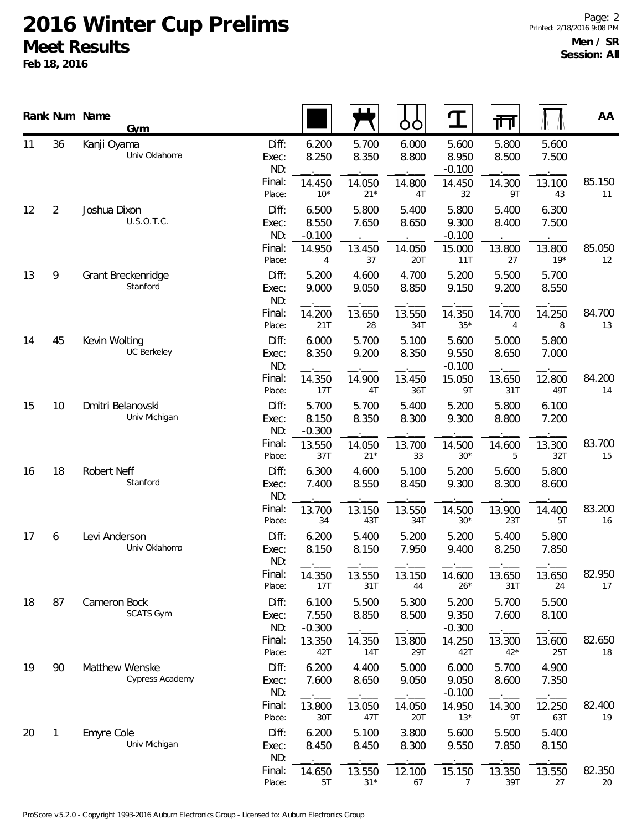|    |                | Rank Num Name<br>Gym                |                                 |                            |                 | ŌŌ             | ${\bf T}$                  | ना              |                 | AA           |
|----|----------------|-------------------------------------|---------------------------------|----------------------------|-----------------|----------------|----------------------------|-----------------|-----------------|--------------|
| 11 | 36             | Kanji Oyama<br>Univ Oklahoma        | Diff:<br>Exec:<br>ND:<br>Final: | 6.200<br>8.250             | 5.700<br>8.350  | 6.000<br>8.800 | 5.600<br>8.950<br>$-0.100$ | 5.800<br>8.500  | 5.600<br>7.500  | 85.150       |
|    |                |                                     | Place:                          | 14.450<br>$10*$            | 14.050<br>$21*$ | 14.800<br>4T   | 14.450<br>32               | 14.300<br>9T    | 13.100<br>43    | 11           |
| 12 | $\overline{2}$ | Joshua Dixon<br>U.S.O.T.C.          | Diff:<br>Exec:<br>ND:           | 6.500<br>8.550<br>$-0.100$ | 5.800<br>7.650  | 5.400<br>8.650 | 5.800<br>9.300<br>$-0.100$ | 5.400<br>8.400  | 6.300<br>7.500  |              |
|    |                |                                     | Final:<br>Place:                | 14.950<br>4                | 13.450<br>37    | 14.050<br>20T  | 15.000<br>11T              | 13.800<br>27    | 13.800<br>$19*$ | 85.050<br>12 |
| 13 | 9              | Grant Breckenridge<br>Stanford      | Diff:<br>Exec:<br>ND:           | 5.200<br>9.000             | 4.600<br>9.050  | 4.700<br>8.850 | 5.200<br>9.150             | 5.500<br>9.200  | 5.700<br>8.550  |              |
|    |                |                                     | Final:<br>Place:                | 14.200<br>21T              | 13.650<br>28    | 13.550<br>34T  | 14.350<br>$35*$            | 14.700<br>4     | 14.250<br>8     | 84.700<br>13 |
| 14 | 45             | Kevin Wolting<br><b>UC Berkeley</b> | Diff:<br>Exec:<br>ND:           | 6.000<br>8.350             | 5.700<br>9.200  | 5.100<br>8.350 | 5.600<br>9.550<br>$-0.100$ | 5.000<br>8.650  | 5.800<br>7.000  |              |
|    |                |                                     | Final:<br>Place:                | 14.350<br>17T              | 14.900<br>4T    | 13.450<br>36T  | 15.050<br>9T               | 13.650<br>31T   | 12.800<br>49T   | 84.200<br>14 |
| 15 | 10             | Dmitri Belanovski<br>Univ Michigan  | Diff:<br>Exec:<br>ND:           | 5.700<br>8.150<br>$-0.300$ | 5.700<br>8.350  | 5.400<br>8.300 | 5.200<br>9.300             | 5.800<br>8.800  | 6.100<br>7.200  |              |
|    |                |                                     | Final:<br>Place:                | 13.550<br>37T              | 14.050<br>$21*$ | 13.700<br>33   | 14.500<br>$30*$            | 14.600<br>5     | 13.300<br>32T   | 83.700<br>15 |
| 16 | 18             | Robert Neff<br>Stanford             | Diff:<br>Exec:<br>ND:           | 6.300<br>7.400             | 4.600<br>8.550  | 5.100<br>8.450 | 5.200<br>9.300             | 5.600<br>8.300  | 5.800<br>8.600  |              |
|    |                |                                     | Final:<br>Place:                | 13.700<br>34               | 13.150<br>43T   | 13.550<br>34T  | 14.500<br>$30*$            | 13.900<br>23T   | 14.400<br>5T    | 83.200<br>16 |
| 17 | 6              | Levi Anderson<br>Univ Oklahoma      | Diff:<br>Exec:<br>ND:           | 6.200<br>8.150             | 5.400<br>8.150  | 5.200<br>7.950 | 5.200<br>9.400             | 5.400<br>8.250  | 5.800<br>7.850  |              |
|    |                |                                     | Final:<br>Place:                | 14.350<br>17T              | 13.550<br>31T   | 13.150<br>44   | 14.600<br>$26*$            | 13.650<br>31T   | 13.650<br>24    | 82.950<br>17 |
| 18 | 87             | Cameron Bock<br><b>SCATS Gym</b>    | Diff:<br>Exec:<br>ND:           | 6.100<br>7.550<br>$-0.300$ | 5.500<br>8.850  | 5.300<br>8.500 | 5.200<br>9.350<br>$-0.300$ | 5.700<br>7.600  | 5.500<br>8.100  |              |
|    |                |                                     | Final:<br>Place:                | 13.350<br>42T              | 14.350<br>14T   | 13.800<br>29T  | 14.250<br>42T              | 13.300<br>$42*$ | 13.600<br>25T   | 82.650<br>18 |
| 19 | 90             | Matthew Wenske<br>Cypress Academy   | Diff:<br>Exec:<br>ND:           | 6.200<br>7.600             | 4.400<br>8.650  | 5.000<br>9.050 | 6.000<br>9.050<br>$-0.100$ | 5.700<br>8.600  | 4.900<br>7.350  |              |
|    |                |                                     | Final:<br>Place:                | 13.800<br>30T              | 13.050<br>47T   | 14.050<br>20T  | 14.950<br>$13*$            | 14.300<br>9T    | 12.250<br>63T   | 82.400<br>19 |
| 20 | $\mathbf{1}$   | <b>Emyre Cole</b><br>Univ Michigan  | Diff:<br>Exec:<br>ND:           | 6.200<br>8.450             | 5.100<br>8.450  | 3.800<br>8.300 | 5.600<br>9.550             | 5.500<br>7.850  | 5.400<br>8.150  |              |
|    |                |                                     | Final:<br>Place:                | 14.650<br>5T               | 13.550<br>$31*$ | 12.100<br>67   | 15.150<br>$\overline{7}$   | 13.350<br>39T   | 13.550<br>27    | 82.350<br>20 |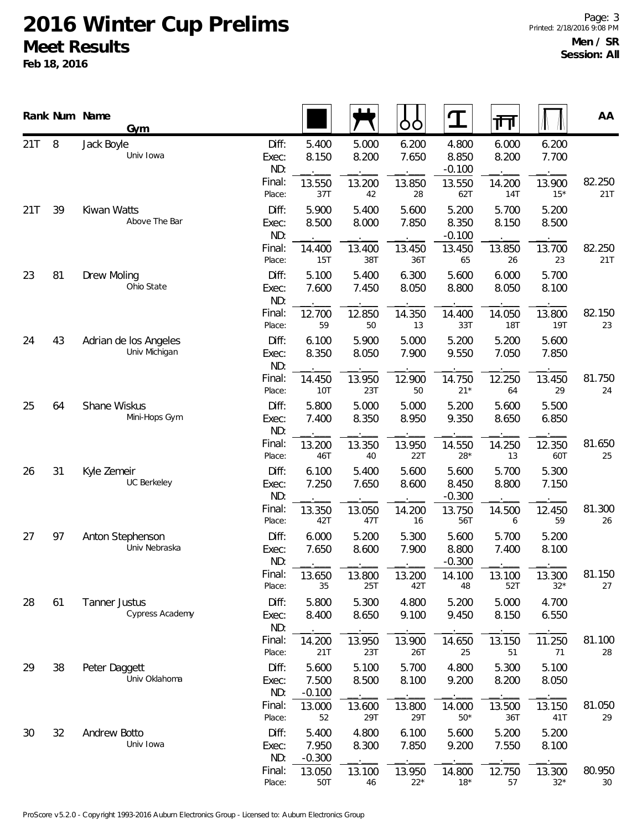|     |    | Rank Num Name      | Gym                                    |                       |                            |                | OO              | ${\bf T}$                  | 帀                    |                      | AA            |
|-----|----|--------------------|----------------------------------------|-----------------------|----------------------------|----------------|-----------------|----------------------------|----------------------|----------------------|---------------|
| 21T | 8  | Jack Boyle         | Univ Iowa                              | Diff:<br>Exec:<br>ND: | 5.400<br>8.150             | 5.000<br>8.200 | 6.200<br>7.650  | 4.800<br>8.850<br>$-0.100$ | 6.000<br>8.200       | 6.200<br>7.700       |               |
|     |    |                    |                                        | Final:<br>Place:      | 13.550<br>37T              | 13.200<br>42   | 13.850<br>28    | 13.550<br>62T              | 14.200<br>14T        | 13.900<br>$15*$      | 82.250<br>21T |
| 21T | 39 | Kiwan Watts        | Above The Bar                          | Diff:<br>Exec:<br>ND: | 5.900<br>8.500             | 5.400<br>8.000 | 5.600<br>7.850  | 5.200<br>8.350<br>$-0.100$ | 5.700<br>8.150       | 5.200<br>8.500       |               |
|     |    |                    |                                        | Final:<br>Place:      | 14.400<br>15T              | 13.400<br>38T  | 13.450<br>36T   | 13.450<br>65               | 13.850<br>26         | 13.700<br>23         | 82.250<br>21T |
| 23  | 81 | <b>Drew Moling</b> | Ohio State                             | Diff:<br>Exec:<br>ND: | 5.100<br>7.600             | 5.400<br>7.450 | 6.300<br>8.050  | 5.600<br>8.800             | 6.000<br>8.050       | 5.700<br>8.100       |               |
|     |    |                    |                                        | Final:<br>Place:      | 12.700<br>59               | 12.850<br>50   | 14.350<br>13    | 14.400<br>33T              | 14.050<br><b>18T</b> | 13.800<br><b>19T</b> | 82.150<br>23  |
| 24  | 43 |                    | Adrian de los Angeles<br>Univ Michigan | Diff:<br>Exec:<br>ND: | 6.100<br>8.350             | 5.900<br>8.050 | 5.000<br>7.900  | 5.200<br>9.550             | 5.200<br>7.050       | 5.600<br>7.850       |               |
|     |    |                    |                                        | Final:<br>Place:      | 14.450<br><b>10T</b>       | 13.950<br>23T  | 12.900<br>50    | 14.750<br>$21*$            | 12.250<br>64         | 13.450<br>29         | 81.750<br>24  |
| 25  | 64 | Shane Wiskus       | Mini-Hops Gym                          | Diff:<br>Exec:<br>ND: | 5.800<br>7.400             | 5.000<br>8.350 | 5.000<br>8.950  | 5.200<br>9.350             | 5.600<br>8.650       | 5.500<br>6.850       |               |
|     |    |                    |                                        | Final:<br>Place:      | 13.200<br>46T              | 13.350<br>40   | 13.950<br>22T   | 14.550<br>$28*$            | 14.250<br>13         | 12.350<br>60T        | 81.650<br>25  |
| 26  | 31 | Kyle Zemeir        | UC Berkeley                            | Diff:<br>Exec:<br>ND: | 6.100<br>7.250             | 5.400<br>7.650 | 5.600<br>8.600  | 5.600<br>8.450<br>$-0.300$ | 5.700<br>8.800       | 5.300<br>7.150       |               |
|     |    |                    |                                        | Final:<br>Place:      | 13.350<br>42T              | 13.050<br>47T  | 14.200<br>16    | 13.750<br>56T              | 14.500<br>6          | 12.450<br>59         | 81.300<br>26  |
| 27  | 97 |                    | Anton Stephenson<br>Univ Nebraska      | Diff:<br>Exec:<br>ND: | 6.000<br>7.650             | 5.200<br>8.600 | 5.300<br>7.900  | 5.600<br>8.800<br>$-0.300$ | 5.700<br>7.400       | 5.200<br>8.100       |               |
|     |    |                    |                                        | Final:<br>Place:      | 13.650<br>35               | 13.800<br>25T  | 13.200<br>42T   | 14.100<br>48               | 13.100<br>52T        | 13.300<br>$32*$      | 81.150<br>27  |
| 28  | 61 | Tanner Justus      | Cypress Academy                        | Diff:<br>Exec:<br>ND: | 5.800<br>8.400             | 5.300<br>8.650 | 4.800<br>9.100  | 5.200<br>9.450             | 5.000<br>8.150       | 4.700<br>6.550       |               |
|     |    |                    |                                        | Final:<br>Place:      | 14.200<br>21T              | 13.950<br>23T  | 13.900<br>26T   | 14.650<br>25               | 13.150<br>51         | 11.250<br>71         | 81.100<br>28  |
| 29  | 38 | Peter Daggett      | Univ Oklahoma                          | Diff:<br>Exec:<br>ND: | 5.600<br>7.500<br>$-0.100$ | 5.100<br>8.500 | 5.700<br>8.100  | 4.800<br>9.200             | 5.300<br>8.200       | 5.100<br>8.050       |               |
|     |    |                    |                                        | Final:<br>Place:      | 13.000<br>52               | 13.600<br>29T  | 13.800<br>29T   | 14.000<br>$50*$            | 13.500<br>36T        | 13.150<br>41T        | 81.050<br>29  |
| 30  | 32 | Andrew Botto       | Univ Iowa                              | Diff:<br>Exec:<br>ND: | 5.400<br>7.950<br>$-0.300$ | 4.800<br>8.300 | 6.100<br>7.850  | 5.600<br>9.200             | 5.200<br>7.550       | 5.200<br>8.100       |               |
|     |    |                    |                                        | Final:<br>Place:      | 13.050<br>50T              | 13.100<br>46   | 13.950<br>$22*$ | 14.800<br>$18*$            | 12.750<br>57         | 13.300<br>$32*$      | 80.950<br>30  |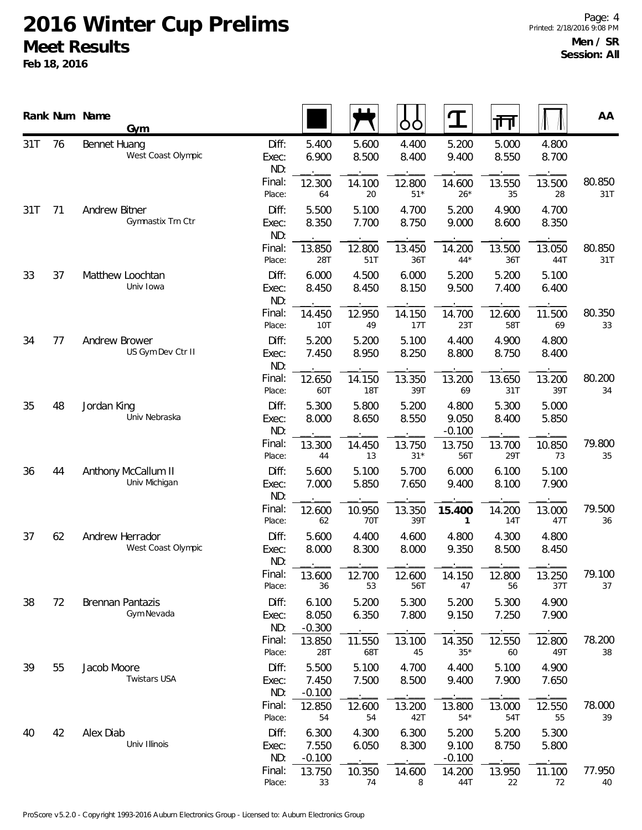|     |    | Rank Num Name<br>Gym                      |                       |                            |                      | O<br>O          | ${\bf T}$                  | 帀                    |                | AA            |
|-----|----|-------------------------------------------|-----------------------|----------------------------|----------------------|-----------------|----------------------------|----------------------|----------------|---------------|
| 31T | 76 | <b>Bennet Huang</b><br>West Coast Olympic | Diff:<br>Exec:<br>ND: | 5.400<br>6.900             | 5.600<br>8.500       | 4.400<br>8.400  | 5.200<br>9.400             | 5.000<br>8.550       | 4.800<br>8.700 |               |
|     |    |                                           | Final:<br>Place:      | 12.300<br>64               | 14.100<br>20         | 12.800<br>$51*$ | 14.600<br>$26*$            | 13.550<br>35         | 13.500<br>28   | 80.850<br>31T |
| 31T | 71 | Andrew Bitner<br>Gymnastix Trn Ctr        | Diff:<br>Exec:<br>ND: | 5.500<br>8.350             | 5.100<br>7.700       | 4.700<br>8.750  | 5.200<br>9.000             | 4.900<br>8.600       | 4.700<br>8.350 |               |
|     |    |                                           | Final:<br>Place:      | 13.850<br>28T              | 12.800<br>51T        | 13.450<br>36T   | 14.200<br>$44*$            | 13.500<br>36T        | 13.050<br>44T  | 80.850<br>31T |
| 33  | 37 | Matthew Loochtan<br>Univ Iowa             | Diff:<br>Exec:<br>ND: | 6.000<br>8.450             | 4.500<br>8.450       | 6.000<br>8.150  | 5.200<br>9.500             | 5.200<br>7.400       | 5.100<br>6.400 |               |
|     |    |                                           | Final:<br>Place:      | 14.450<br>10T              | 12.950<br>49         | 14.150<br>17T   | 14.700<br>23T              | 12.600<br>58T        | 11.500<br>69   | 80.350<br>33  |
| 34  | 77 | Andrew Brower<br>US Gym Dev Ctr II        | Diff:<br>Exec:<br>ND: | 5.200<br>7.450             | 5.200<br>8.950       | 5.100<br>8.250  | 4.400<br>8.800             | 4.900<br>8.750       | 4.800<br>8.400 |               |
|     |    |                                           | Final:<br>Place:      | 12.650<br>60T              | 14.150<br><b>18T</b> | 13.350<br>39T   | 13.200<br>69               | 13.650<br>31T        | 13.200<br>39T  | 80.200<br>34  |
| 35  | 48 | Jordan King<br>Univ Nebraska              | Diff:<br>Exec:<br>ND: | 5.300<br>8.000             | 5.800<br>8.650       | 5.200<br>8.550  | 4.800<br>9.050<br>$-0.100$ | 5.300<br>8.400       | 5.000<br>5.850 |               |
|     |    |                                           | Final:<br>Place:      | 13.300<br>44               | 14.450<br>13         | 13.750<br>$31*$ | 13.750<br>56T              | 13.700<br>29T        | 10.850<br>73   | 79.800<br>35  |
| 36  | 44 | Anthony McCallum II<br>Univ Michigan      | Diff:<br>Exec:<br>ND: | 5.600<br>7.000             | 5.100<br>5.850       | 5.700<br>7.650  | 6.000<br>9.400             | 6.100<br>8.100       | 5.100<br>7.900 |               |
|     |    |                                           | Final:<br>Place:      | 12.600<br>62               | 10.950<br>70T        | 13.350<br>39T   | 15.400<br>1                | 14.200<br><b>14T</b> | 13.000<br>47T  | 79.500<br>36  |
| 37  | 62 | Andrew Herrador<br>West Coast Olympic     | Diff:<br>Exec:<br>ND: | 5.600<br>8.000             | 4.400<br>8.300       | 4.600<br>8.000  | 4.800<br>9.350             | 4.300<br>8.500       | 4.800<br>8.450 |               |
|     |    |                                           | Final:<br>Place:      | 13.600<br>36               | 12.700<br>53         | 12.600<br>56T   | 14.150<br>47               | 12.800<br>56         | 13.250<br>37T  | 79.100<br>37  |
| 38  | 72 | Brennan Pantazis<br>Gym Nevada            | Diff:<br>Exec:<br>ND: | 6.100<br>8.050<br>$-0.300$ | 5.200<br>6.350       | 5.300<br>7.800  | 5.200<br>9.150             | 5.300<br>7.250       | 4.900<br>7.900 |               |
|     |    |                                           | Final:<br>Place:      | 13.850<br>28T              | 11.550<br>68T        | 13.100<br>45    | 14.350<br>$35*$            | 12.550<br>60         | 12.800<br>49T  | 78.200<br>38  |
| 39  | 55 | Jacob Moore<br>Twistars USA               | Diff:<br>Exec:<br>ND: | 5.500<br>7.450<br>$-0.100$ | 5.100<br>7.500       | 4.700<br>8.500  | 4.400<br>9.400             | 5.100<br>7.900       | 4.900<br>7.650 |               |
|     |    |                                           | Final:<br>Place:      | 12.850<br>54               | 12.600<br>54         | 13.200<br>42T   | 13.800<br>$54*$            | 13.000<br>54T        | 12.550<br>55   | 78.000<br>39  |
| 40  | 42 | Alex Diab<br>Univ Illinois                | Diff:<br>Exec:<br>ND: | 6.300<br>7.550<br>$-0.100$ | 4.300<br>6.050       | 6.300<br>8.300  | 5.200<br>9.100<br>$-0.100$ | 5.200<br>8.750       | 5.300<br>5.800 |               |
|     |    |                                           | Final:<br>Place:      | 13.750<br>33               | 10.350<br>74         | 14.600<br>8     | 14.200<br>44T              | 13.950<br>22         | 11.100<br>72   | 77.950<br>40  |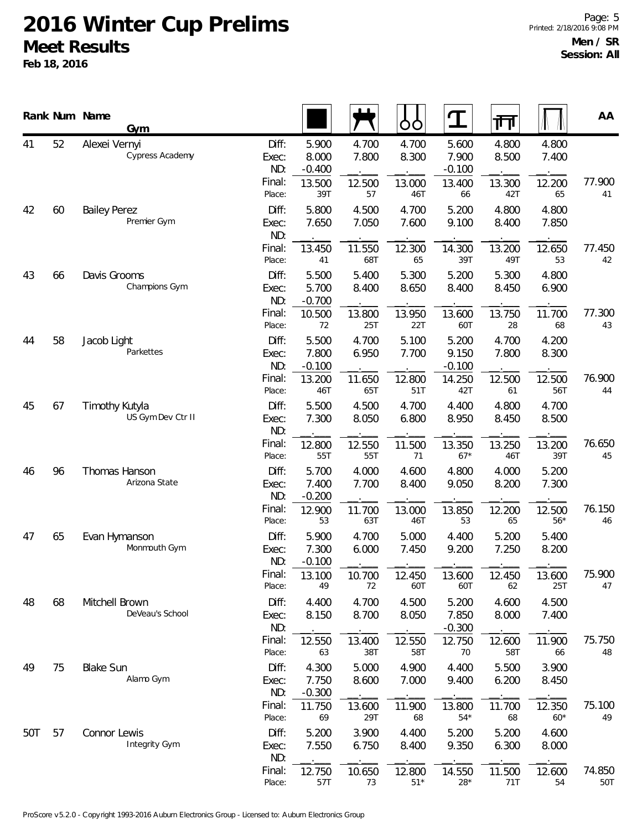|     |    | Rank Num Name<br>Gym                |                                 |                                      |                          | ŌÒ                       | $\mathbf T$                          | 帀                        |                          | AA            |
|-----|----|-------------------------------------|---------------------------------|--------------------------------------|--------------------------|--------------------------|--------------------------------------|--------------------------|--------------------------|---------------|
| 41  | 52 | Alexei Vernyi<br>Cypress Academy    | Diff:<br>Exec:<br>ND:<br>Final: | 5.900<br>8.000<br>$-0.400$<br>13.500 | 4.700<br>7.800<br>12.500 | 4.700<br>8.300<br>13.000 | 5.600<br>7.900<br>$-0.100$<br>13.400 | 4.800<br>8.500<br>13.300 | 4.800<br>7.400<br>12.200 | 77.900        |
| 42  | 60 | <b>Bailey Perez</b><br>Premier Gym  | Place:<br>Diff:<br>Exec:<br>ND: | 39T<br>5.800<br>7.650                | 57<br>4.500<br>7.050     | 46T<br>4.700<br>7.600    | 66<br>5.200<br>9.100                 | 42T<br>4.800<br>8.400    | 65<br>4.800<br>7.850     | 41            |
|     |    |                                     | Final:<br>Place:                | 13.450<br>41                         | 11.550<br>68T            | 12.300<br>65             | 14.300<br>39T                        | 13.200<br>49T            | 12.650<br>53             | 77.450<br>42  |
| 43  | 66 | Davis Grooms<br>Champions Gym       | Diff:<br>Exec:<br>ND:           | 5.500<br>5.700<br>$-0.700$           | 5.400<br>8.400           | 5.300<br>8.650           | 5.200<br>8.400                       | 5.300<br>8.450           | 4.800<br>6.900           |               |
|     |    |                                     | Final:<br>Place:                | 10.500<br>72                         | 13.800<br>25T            | 13.950<br>22T            | 13.600<br>60T                        | 13.750<br>28             | 11.700<br>68             | 77.300<br>43  |
| 44  | 58 | Jacob Light<br>Parkettes            | Diff:<br>Exec:<br>ND:           | 5.500<br>7.800<br>$-0.100$           | 4.700<br>6.950           | 5.100<br>7.700           | 5.200<br>9.150<br>$-0.100$           | 4.700<br>7.800           | 4.200<br>8.300           |               |
|     |    |                                     | Final:<br>Place:                | 13.200<br>46T                        | 11.650<br>65T            | 12.800<br>51T            | 14.250<br>42T                        | 12.500<br>61             | 12.500<br>56T            | 76.900<br>44  |
| 45  | 67 | Timothy Kutyla<br>US Gym Dev Ctr II | Diff:<br>Exec:<br>ND:           | 5.500<br>7.300                       | 4.500<br>8.050           | 4.700<br>6.800           | 4.400<br>8.950                       | 4.800<br>8.450           | 4.700<br>8.500           |               |
|     |    |                                     | Final:<br>Place:                | 12.800<br>55T                        | 12.550<br>55T            | 11.500<br>71             | 13.350<br>$67*$                      | 13.250<br>46T            | 13.200<br>39T            | 76.650<br>45  |
| 46  | 96 | Thomas Hanson<br>Arizona State      | Diff:<br>Exec:<br>ND:           | 5.700<br>7.400<br>$-0.200$           | 4.000<br>7.700           | 4.600<br>8.400           | 4.800<br>9.050                       | 4.000<br>8.200           | 5.200<br>7.300           |               |
|     |    |                                     | Final:<br>Place:                | 12.900<br>53                         | 11.700<br>63T            | 13.000<br>46T            | 13.850<br>53                         | 12.200<br>65             | 12.500<br>$56*$          | 76.150<br>46  |
| 47  | 65 | Evan Hymanson<br>Monmouth Gym       | Diff:<br>Exec:<br>ND:           | 5.900<br>7.300<br>$-0.100$           | 4.700<br>6.000           | 5.000<br>7.450           | 4.400<br>9.200                       | 5.200<br>7.250           | 5.400<br>8.200           |               |
|     |    |                                     | Final:<br>Place:                | 13.100<br>49                         | 10.700<br>72             | 12.450<br>60T            | 13.600<br>60T                        | 12.450<br>62             | 13.600<br>25T            | 75.900<br>47  |
| 48  | 68 | Mitchell Brown<br>DeVeau's School   | Diff:<br>Exec:<br>ND:           | 4.400<br>8.150                       | 4.700<br>8.700           | 4.500<br>8.050           | 5.200<br>7.850<br>$-0.300$           | 4.600<br>8.000           | 4.500<br>7.400           |               |
|     |    |                                     | Final:<br>Place:                | 12.550<br>63                         | 13.400<br>38T            | 12.550<br>58T            | 12.750<br>70                         | 12.600<br>58T            | 11.900<br>66             | 75.750<br>48  |
| 49  | 75 | <b>Blake Sun</b><br>Alamo Gym       | Diff:<br>Exec:<br>ND:           | 4.300<br>7.750<br>$-0.300$           | 5.000<br>8.600           | 4.900<br>7.000           | 4.400<br>9.400                       | 5.500<br>6.200           | 3.900<br>8.450           |               |
|     |    |                                     | Final:<br>Place:                | 11.750<br>69                         | 13.600<br>29T            | 11.900<br>68             | 13.800<br>$54*$                      | 11.700<br>68             | 12.350<br>$60*$          | 75.100<br>49  |
| 50T | 57 | Connor Lewis<br>Integrity Gym       | Diff:<br>Exec:<br>ND:           | 5.200<br>7.550                       | 3.900<br>6.750           | 4.400<br>8.400           | 5.200<br>9.350                       | 5.200<br>6.300           | 4.600<br>8.000           |               |
|     |    |                                     | Final:<br>Place:                | 12.750<br>57T                        | 10.650<br>73             | 12.800<br>$51*$          | 14.550<br>$28*$                      | 11.500<br>71T            | 12.600<br>54             | 74.850<br>50T |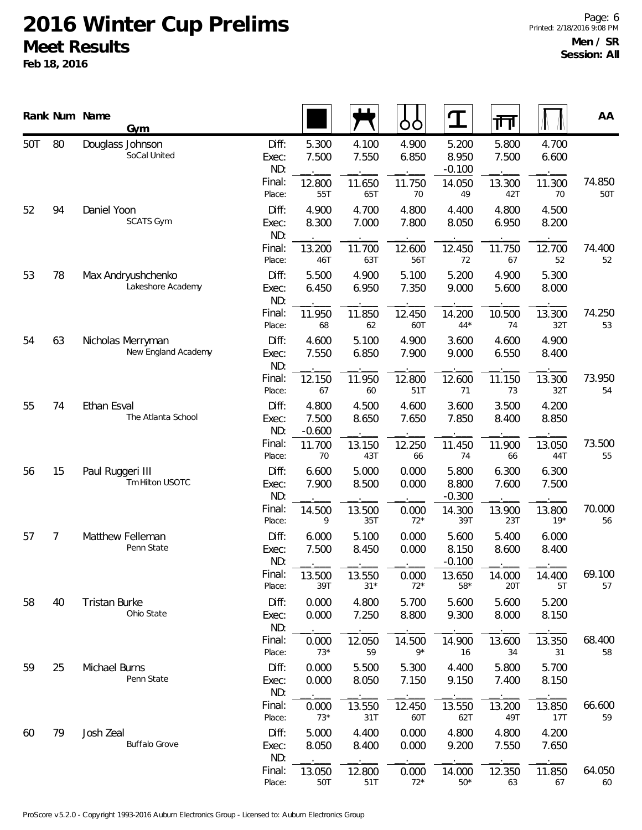|     |    | Rank Num Name        | Gym                                      |                       |                            |                 | O<br>O         | ${\bf T}$                  | गा             |                 | AA            |
|-----|----|----------------------|------------------------------------------|-----------------------|----------------------------|-----------------|----------------|----------------------------|----------------|-----------------|---------------|
| 50T | 80 | Douglass Johnson     | SoCal United                             | Diff:<br>Exec:<br>ND: | 5.300<br>7.500             | 4.100<br>7.550  | 4.900<br>6.850 | 5.200<br>8.950<br>$-0.100$ | 5.800<br>7.500 | 4.700<br>6.600  |               |
|     |    |                      |                                          | Final:<br>Place:      | 12.800<br>55T              | 11.650<br>65T   | 11.750<br>70   | 14.050<br>49               | 13.300<br>42T  | 11.300<br>70    | 74.850<br>50T |
| 52  | 94 | Daniel Yoon          | <b>SCATS Gym</b>                         | Diff:<br>Exec:<br>ND: | 4.900<br>8.300             | 4.700<br>7.000  | 4.800<br>7.800 | 4.400<br>8.050             | 4.800<br>6.950 | 4.500<br>8.200  |               |
|     |    |                      |                                          | Final:<br>Place:      | 13.200<br>46T              | 11.700<br>63T   | 12.600<br>56T  | 12.450<br>72               | 11.750<br>67   | 12.700<br>52    | 74.400<br>52  |
| 53  | 78 |                      | Max Andryushchenko<br>Lakeshore Academy  | Diff:<br>Exec:<br>ND: | 5.500<br>6.450             | 4.900<br>6.950  | 5.100<br>7.350 | 5.200<br>9.000             | 4.900<br>5.600 | 5.300<br>8.000  |               |
|     |    |                      |                                          | Final:<br>Place:      | 11.950<br>68               | 11.850<br>62    | 12.450<br>60T  | 14.200<br>$44*$            | 10.500<br>74   | 13.300<br>32T   | 74.250<br>53  |
| 54  | 63 |                      | Nicholas Merryman<br>New England Academy | Diff:<br>Exec:<br>ND: | 4.600<br>7.550             | 5.100<br>6.850  | 4.900<br>7.900 | 3.600<br>9.000             | 4.600<br>6.550 | 4.900<br>8.400  |               |
|     |    |                      |                                          | Final:<br>Place:      | 12.150<br>67               | 11.950<br>60    | 12.800<br>51T  | 12.600<br>71               | 11.150<br>73   | 13.300<br>32T   | 73.950<br>54  |
| 55  | 74 | Ethan Esval          | The Atlanta School                       | Diff:<br>Exec:<br>ND: | 4.800<br>7.500<br>$-0.600$ | 4.500<br>8.650  | 4.600<br>7.650 | 3.600<br>7.850             | 3.500<br>8.400 | 4.200<br>8.850  |               |
|     |    |                      |                                          | Final:<br>Place:      | 11.700<br>70               | 13.150<br>43T   | 12.250<br>66   | 11.450<br>74               | 11.900<br>66   | 13.050<br>44T   | 73.500<br>55  |
| 56  | 15 | Paul Ruggeri III     | Tm Hilton USOTC                          | Diff:<br>Exec:<br>ND: | 6.600<br>7.900             | 5.000<br>8.500  | 0.000<br>0.000 | 5.800<br>8.800<br>$-0.300$ | 6.300<br>7.600 | 6.300<br>7.500  |               |
|     |    |                      |                                          | Final:<br>Place:      | 14.500<br>9                | 13.500<br>35T   | 0.000<br>$72*$ | 14.300<br>39T              | 13.900<br>23T  | 13.800<br>$19*$ | 70.000<br>56  |
| 57  | 7  |                      | Matthew Felleman<br>Penn State           | Diff:<br>Exec:<br>ND: | 6.000<br>7.500             | 5.100<br>8.450  | 0.000<br>0.000 | 5.600<br>8.150<br>$-0.100$ | 5.400<br>8.600 | 6.000<br>8.400  |               |
|     |    |                      |                                          | Final:<br>Place:      | 13.500<br>39T              | 13.550<br>$31*$ | 0.000<br>$72*$ | 13.650<br>$58*$            | 14.000<br>20T  | 14.400<br>5T    | 69.100<br>57  |
| 58  | 40 | <b>Tristan Burke</b> | Ohio State                               | Diff:<br>Exec:<br>ND: | 0.000<br>0.000             | 4.800<br>7.250  | 5.700<br>8.800 | 5.600<br>9.300             | 5.600<br>8.000 | 5.200<br>8.150  |               |
|     |    |                      |                                          | Final:<br>Place:      | 0.000<br>$73*$             | 12.050<br>59    | 14.500<br>$9*$ | 14.900<br>16               | 13.600<br>34   | 13.350<br>31    | 68.400<br>58  |
| 59  | 25 | Michael Burns        | Penn State                               | Diff:<br>Exec:<br>ND: | 0.000<br>0.000             | 5.500<br>8.050  | 5.300<br>7.150 | 4.400<br>9.150             | 5.800<br>7.400 | 5.700<br>8.150  |               |
|     |    |                      |                                          | Final:<br>Place:      | 0.000<br>$73*$             | 13.550<br>31T   | 12.450<br>60T  | 13.550<br>62T              | 13.200<br>49T  | 13.850<br>17T   | 66.600<br>59  |
| 60  | 79 | Josh Zeal            | <b>Buffalo Grove</b>                     | Diff:<br>Exec:<br>ND: | 5.000<br>8.050             | 4.400<br>8.400  | 0.000<br>0.000 | 4.800<br>9.200             | 4.800<br>7.550 | 4.200<br>7.650  |               |
|     |    |                      |                                          | Final:<br>Place:      | 13.050<br>50T              | 12.800<br>51T   | 0.000<br>$72*$ | 14.000<br>$50*$            | 12.350<br>63   | 11.850<br>67    | 64.050<br>60  |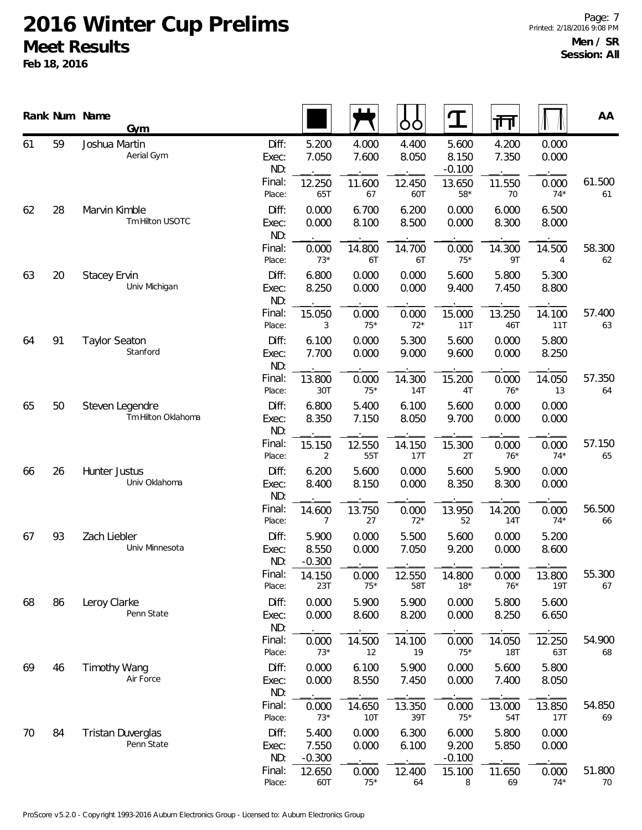|    |    | Rank Num Name<br>Gym                   |                       |                            |                | ŌÒ             | $\mathbf T$                | 帀                    |                | AA           |
|----|----|----------------------------------------|-----------------------|----------------------------|----------------|----------------|----------------------------|----------------------|----------------|--------------|
| 61 | 59 | Joshua Martin<br>Aerial Gym            | Diff:<br>Exec:<br>ND: | 5.200<br>7.050             | 4.000<br>7.600 | 4.400<br>8.050 | 5.600<br>8.150<br>$-0.100$ | 4.200<br>7.350       | 0.000<br>0.000 |              |
|    |    |                                        | Final:<br>Place:      | 12.250<br>65T              | 11.600<br>67   | 12.450<br>60T  | 13.650<br>$58*$            | 11.550<br>70         | 0.000<br>$74*$ | 61.500<br>61 |
| 62 | 28 | Marvin Kimble<br>Tm Hilton USOTC       | Diff:<br>Exec:<br>ND: | 0.000<br>0.000             | 6.700<br>8.100 | 6.200<br>8.500 | 0.000<br>0.000             | 6.000<br>8.300       | 6.500<br>8.000 |              |
|    |    |                                        | Final:<br>Place:      | 0.000<br>$73*$             | 14.800<br>6T   | 14.700<br>6T   | 0.000<br>$75*$             | 14.300<br>9T         | 14.500<br>4    | 58.300<br>62 |
| 63 | 20 | <b>Stacey Ervin</b><br>Univ Michigan   | Diff:<br>Exec:<br>ND: | 6.800<br>8.250             | 0.000<br>0.000 | 0.000<br>0.000 | 5.600<br>9.400             | 5.800<br>7.450       | 5.300<br>8.800 |              |
|    |    |                                        | Final:<br>Place:      | 15.050<br>3                | 0.000<br>$75*$ | 0.000<br>$72*$ | 15.000<br>11T              | 13.250<br>46T        | 14.100<br>11T  | 57.400<br>63 |
| 64 | 91 | <b>Taylor Seaton</b><br>Stanford       | Diff:<br>Exec:<br>ND: | 6.100<br>7.700             | 0.000<br>0.000 | 5.300<br>9.000 | 5.600<br>9.600             | 0.000<br>0.000       | 5.800<br>8.250 |              |
|    |    |                                        | Final:<br>Place:      | 13.800<br>30T              | 0.000<br>$75*$ | 14.300<br>14T  | 15.200<br>4T               | 0.000<br>$76*$       | 14.050<br>13   | 57.350<br>64 |
| 65 | 50 | Steven Legendre<br>Tm Hilton Oklahoma  | Diff:<br>Exec:<br>ND: | 6.800<br>8.350             | 5.400<br>7.150 | 6.100<br>8.050 | 5.600<br>9.700             | 0.000<br>0.000       | 0.000<br>0.000 |              |
|    |    |                                        | Final:<br>Place:      | 15.150<br>2                | 12.550<br>55T  | 14.150<br>17T  | 15.300<br>2T               | 0.000<br>$76*$       | 0.000<br>$74*$ | 57.150<br>65 |
| 66 | 26 | Hunter Justus<br>Univ Oklahoma         | Diff:<br>Exec:<br>ND: | 6.200<br>8.400             | 5.600<br>8.150 | 0.000<br>0.000 | 5.600<br>8.350             | 5.900<br>8.300       | 0.000<br>0.000 |              |
|    |    |                                        | Final:<br>Place:      | 14.600<br>7                | 13.750<br>27   | 0.000<br>$72*$ | 13.950<br>52               | 14.200<br>14T        | 0.000<br>$74*$ | 56.500<br>66 |
| 67 | 93 | Zach Liebler<br>Univ Minnesota         | Diff:<br>Exec:<br>ND: | 5.900<br>8.550<br>$-0.300$ | 0.000<br>0.000 | 5.500<br>7.050 | 5.600<br>9.200             | 0.000<br>0.000       | 5.200<br>8.600 |              |
|    |    |                                        | Final:<br>Place:      | 14.150<br>23T              | 0.000<br>$75*$ | 12.550<br>58T  | 14.800<br>$18*$            | 0.000<br>$76*$       | 13.800<br>19T  | 55.300<br>67 |
| 68 | 86 | Leroy Clarke<br>Penn State             | Diff:<br>Exec:<br>ND: | 0.000<br>0.000             | 5.900<br>8.600 | 5.900<br>8.200 | 0.000<br>0.000             | 5.800<br>8.250       | 5.600<br>6.650 |              |
|    |    |                                        | Final:<br>Place:      | 0.000<br>$73*$             | 14.500<br>12   | 14.100<br>19   | 0.000<br>$75*$             | 14.050<br><b>18T</b> | 12.250<br>63T  | 54.900<br>68 |
| 69 | 46 | <b>Timothy Wang</b><br>Air Force       | Diff:<br>Exec:<br>ND: | 0.000<br>0.000             | 6.100<br>8.550 | 5.900<br>7.450 | 0.000<br>0.000             | 5.600<br>7.400       | 5.800<br>8.050 |              |
|    |    |                                        | Final:<br>Place:      | 0.000<br>$73*$             | 14.650<br>10T  | 13.350<br>39T  | 0.000<br>$75*$             | 13.000<br>54T        | 13.850<br>17T  | 54.850<br>69 |
| 70 | 84 | <b>Tristan Duverglas</b><br>Penn State | Diff:<br>Exec:<br>ND: | 5.400<br>7.550<br>$-0.300$ | 0.000<br>0.000 | 6.300<br>6.100 | 6.000<br>9.200<br>$-0.100$ | 5.800<br>5.850       | 0.000<br>0.000 |              |
|    |    |                                        | Final:<br>Place:      | 12.650<br>60T              | 0.000<br>$75*$ | 12.400<br>64   | 15.100<br>8                | 11.650<br>69         | 0.000<br>$74*$ | 51.800<br>70 |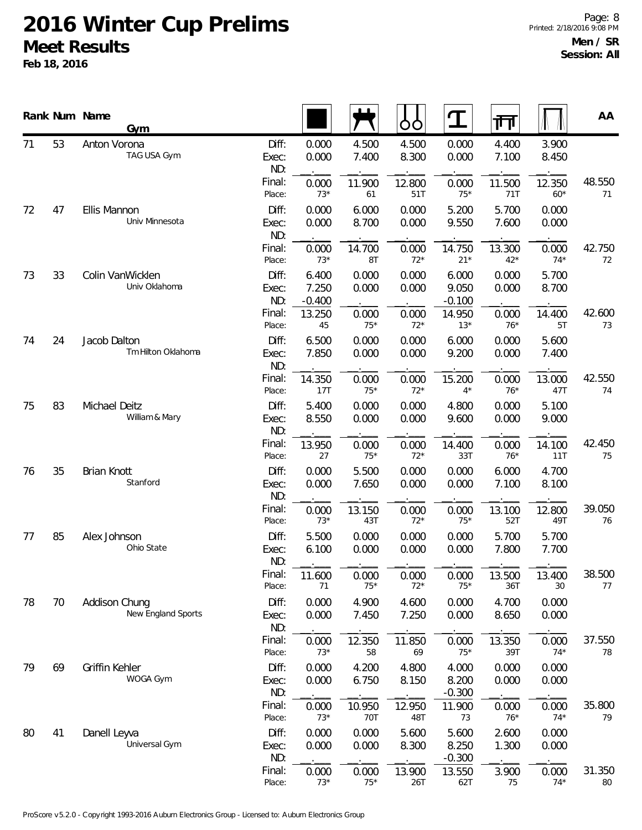|    |    | Rank Num Name<br>Gym                |                       |                            |                | O<br>O         | $\mathbf T$                | 帀               |                 | AA           |
|----|----|-------------------------------------|-----------------------|----------------------------|----------------|----------------|----------------------------|-----------------|-----------------|--------------|
| 71 | 53 | Anton Vorona<br>TAG USA Gym         | Diff:<br>Exec:<br>ND: | 0.000<br>0.000             | 4.500<br>7.400 | 4.500<br>8.300 | 0.000<br>0.000             | 4.400<br>7.100  | 3.900<br>8.450  |              |
|    |    |                                     | Final:<br>Place:      | 0.000<br>$73*$             | 11.900<br>61   | 12.800<br>51T  | 0.000<br>$75*$             | 11.500<br>71T   | 12.350<br>$60*$ | 48.550<br>71 |
| 72 | 47 | Ellis Mannon<br>Univ Minnesota      | Diff:<br>Exec:<br>ND: | 0.000<br>0.000             | 6.000<br>8.700 | 0.000<br>0.000 | 5.200<br>9.550             | 5.700<br>7.600  | 0.000<br>0.000  |              |
|    |    |                                     | Final:<br>Place:      | 0.000<br>$73*$             | 14.700<br>8T   | 0.000<br>$72*$ | 14.750<br>$21*$            | 13.300<br>$42*$ | 0.000<br>$74*$  | 42.750<br>72 |
| 73 | 33 | Colin VanWicklen<br>Univ Oklahoma   | Diff:<br>Exec:<br>ND: | 6.400<br>7.250<br>$-0.400$ | 0.000<br>0.000 | 0.000<br>0.000 | 6.000<br>9.050<br>$-0.100$ | 0.000<br>0.000  | 5.700<br>8.700  |              |
|    |    |                                     | Final:<br>Place:      | 13.250<br>45               | 0.000<br>$75*$ | 0.000<br>$72*$ | 14.950<br>$13*$            | 0.000<br>$76*$  | 14.400<br>5T    | 42.600<br>73 |
| 74 | 24 | Jacob Dalton<br>Tm Hilton Oklahoma  | Diff:<br>Exec:<br>ND: | 6.500<br>7.850             | 0.000<br>0.000 | 0.000<br>0.000 | 6.000<br>9.200             | 0.000<br>0.000  | 5.600<br>7.400  |              |
|    |    |                                     | Final:<br>Place:      | 14.350<br>17T              | 0.000<br>$75*$ | 0.000<br>$72*$ | 15.200<br>$4^*$            | 0.000<br>$76*$  | 13.000<br>47T   | 42.550<br>74 |
| 75 | 83 | Michael Deitz<br>William & Mary     | Diff:<br>Exec:<br>ND: | 5.400<br>8.550             | 0.000<br>0.000 | 0.000<br>0.000 | 4.800<br>9.600             | 0.000<br>0.000  | 5.100<br>9.000  |              |
|    |    |                                     | Final:<br>Place:      | 13.950<br>27               | 0.000<br>$75*$ | 0.000<br>$72*$ | 14.400<br>33T              | 0.000<br>$76*$  | 14.100<br>11T   | 42.450<br>75 |
| 76 | 35 | <b>Brian Knott</b><br>Stanford      | Diff:<br>Exec:<br>ND: | 0.000<br>0.000             | 5.500<br>7.650 | 0.000<br>0.000 | 0.000<br>0.000             | 6.000<br>7.100  | 4.700<br>8.100  |              |
|    |    |                                     | Final:<br>Place:      | 0.000<br>$73*$             | 13.150<br>43T  | 0.000<br>$72*$ | 0.000<br>$75*$             | 13.100<br>52T   | 12.800<br>49T   | 39.050<br>76 |
| 77 | 85 | Alex Johnson<br>Ohio State          | Diff:<br>Exec:<br>ND: | 5.500<br>6.100             | 0.000<br>0.000 | 0.000<br>0.000 | 0.000<br>0.000             | 5.700<br>7.800  | 5.700<br>7.700  |              |
|    |    |                                     | Final:<br>Place:      | 11.600<br>71               | 0.000<br>$75*$ | 0.000<br>$72*$ | 0.000<br>$75*$             | 13.500<br>36T   | 13.400<br>30    | 38.500<br>77 |
| 78 | 70 | Addison Chung<br>New England Sports | Diff:<br>Exec:<br>ND: | 0.000<br>0.000             | 4.900<br>7.450 | 4.600<br>7.250 | 0.000<br>0.000             | 4.700<br>8.650  | 0.000<br>0.000  |              |
|    |    |                                     | Final:<br>Place:      | 0.000<br>$73*$             | 12.350<br>58   | 11.850<br>69   | 0.000<br>$75*$             | 13.350<br>39T   | 0.000<br>$74*$  | 37.550<br>78 |
| 79 | 69 | Griffin Kehler<br>WOGA Gym          | Diff:<br>Exec:<br>ND: | 0.000<br>0.000             | 4.200<br>6.750 | 4.800<br>8.150 | 4.000<br>8.200<br>$-0.300$ | 0.000<br>0.000  | 0.000<br>0.000  |              |
|    |    |                                     | Final:<br>Place:      | 0.000<br>$73*$             | 10.950<br>70T  | 12.950<br>48T  | 11.900<br>73               | 0.000<br>$76*$  | 0.000<br>$74*$  | 35.800<br>79 |
| 80 | 41 | Danell Leyva<br>Universal Gym       | Diff:<br>Exec:<br>ND: | 0.000<br>0.000             | 0.000<br>0.000 | 5.600<br>8.300 | 5.600<br>8.250<br>$-0.300$ | 2.600<br>1.300  | 0.000<br>0.000  |              |
|    |    |                                     | Final:<br>Place:      | 0.000<br>$73*$             | 0.000<br>$75*$ | 13.900<br>26T  | 13.550<br>62T              | 3.900<br>$75\,$ | 0.000<br>$74*$  | 31.350<br>80 |